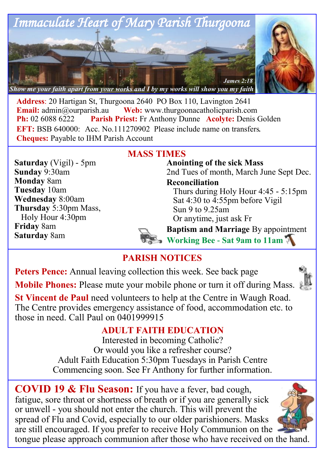

**Address**: 20 Hartigan St, Thurgoona 2640 PO Box 110, Lavington 2641 **Email:**  $\alpha$ <sup>o</sup> admin $\alpha$ <sup>o</sup> aurearish.au **Web:** www.thurgoonacatholicparish.com **Ph:** 02 6088 6222 **Parish Priest:** Fr Anthony Dunne **Acolyte:** Denis Golden **EFT:** BSB 640000: Acc. No.111270902 Please include name on transfers. **Cheques:** Payable to IHM Parish Account

## **MASS TIMES**

**Saturday** (Vigil) - 5pm **Sunday** 9:30am **Monday** 8am **Tuesday** 10am **Wednesday** 8:00am **Thursday** 5:30pm Mass, Holy Hour 4:30pm **Friday** 8am **Saturday** 8am

### **Anointing of the sick Mass** 2nd Tues of month, March June Sept Dec.

**Reconciliation** 

Thurs during Holy Hour 4:45 - 5:15pm Sat 4:30 to 4:55pm before Vigil Sun 9 to 9.25am Or anytime, just ask Fr

**Baptism and Marriage** By appointment

**Working Bee - Sat 9am to 11am**

# **PARISH NOTICES**

**Peters Pence:** Annual leaving collection this week. See back page **Mobile Phones:** Please mute your mobile phone or turn it off during Mass.



**St Vincent de Paul** need volunteers to help at the Centre in Waugh Road. The Centre provides emergency assistance of food, accommodation etc. to those in need. Call Paul on 0401999915

## **ADULT FAITH EDUCATION**

Interested in becoming Catholic? Or would you like a refresher course? Adult Faith Education 5:30pm Tuesdays in Parish Centre Commencing soon. See Fr Anthony for further information.

**COVID 19 & Flu Season:** If you have a fever, bad cough, fatigue, sore throat or shortness of breath or if you are generally sick or unwell - you should not enter the church. This will prevent the spread of Flu and Covid, especially to our older parishioners. Masks are still encouraged. If you prefer to receive Holy Communion on the tongue please approach communion after those who have received on the hand.

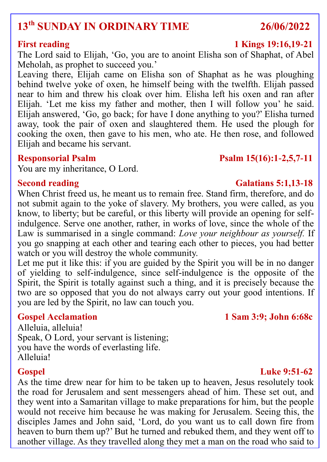# **13th SUNDAY IN ORDINARY TIME 26/06/2022**

The Lord said to Elijah, 'Go, you are to anoint Elisha son of Shaphat, of Abel Meholah, as prophet to succeed you.'

Leaving there, Elijah came on Elisha son of Shaphat as he was ploughing behind twelve yoke of oxen, he himself being with the twelfth. Elijah passed near to him and threw his cloak over him. Elisha left his oxen and ran after Elijah. 'Let me kiss my father and mother, then I will follow you' he said. Elijah answered, 'Go, go back; for have I done anything to you?' Elisha turned away, took the pair of oxen and slaughtered them. He used the plough for cooking the oxen, then gave to his men, who ate. He then rose, and followed Elijah and became his servant.

You are my inheritance, O Lord.

When Christ freed us, he meant us to remain free. Stand firm, therefore, and do not submit again to the yoke of slavery. My brothers, you were called, as you know, to liberty; but be careful, or this liberty will provide an opening for selfindulgence. Serve one another, rather, in works of love, since the whole of the Law is summarised in a single command: *Love your neighbour as yourself.* If you go snapping at each other and tearing each other to pieces, you had better watch or you will destroy the whole community.

Let me put it like this: if you are guided by the Spirit you will be in no danger of yielding to self-indulgence, since self-indulgence is the opposite of the Spirit, the Spirit is totally against such a thing, and it is precisely because the two are so opposed that you do not always carry out your good intentions. If you are led by the Spirit, no law can touch you.

### **Gospel Acclamation 1 Sam 3:9; John 6:68c**

Alleluia, alleluia! Speak, O Lord, your servant is listening; you have the words of everlasting life. Alleluia!

### As the time drew near for him to be taken up to heaven, Jesus resolutely took the road for Jerusalem and sent messengers ahead of him. These set out, and they went into a Samaritan village to make preparations for him, but the people would not receive him because he was making for Jerusalem. Seeing this, the disciples James and John said, 'Lord, do you want us to call down fire from heaven to burn them up?' But he turned and rebuked them, and they went off to another village. As they travelled along they met a man on the road who said to

## **First reading 1 Kings 19:16,19-21**

## **Responsorial Psalm Psalm 15(16):1-2,5,7-11**

### **Second reading Galatians 5:1,13-18**

### **Gospel Luke 9:51-62**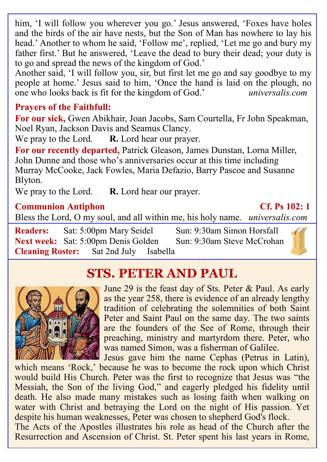him, 'I will follow you wherever you go.' Jesus answered, 'Foxes have holes and the birds of the air have nests, but the Son of Man has nowhere to lay his head.' Another to whom he said, 'Follow me', replied, 'Let me go and bury my father first.' But he answered, 'Leave the dead to bury their dead; your duty is to go and spread the news of the kingdom of God.'

Another said, 'I will follow you, sir, but first let me go and say goodbye to my people at home.' Jesus said to him, 'Once the hand is laid on the plough, no one who looks back is fit for the kingdom of God.' *universalis.com*

### **Prayers of the Faithfull:**

**For our sick,** Gwen Abikhair, Joan Jacobs, Sam Courtella, Fr John Speakman, Noel Ryan, Jackson Davis and Seamus Clancy.

We pray to the Lord. **R.** Lord hear our prayer.

**For our recently departed,** Patrick Gleason, James Dunstan, Lorna Miller, John Dunne and those who's anniversaries occur at this time including Murray McCooke, Jack Fowles, Maria Defazio, Barry Pascoe and Susanne Blyton.

We pray to the Lord. **R.** Lord hear our prayer.

### **Communion Antiphon Cf. Ps 102: 1**

Bless the Lord, O my soul, and all within me, his holy name. *universalis.com*

**Readers:** Sat: 5:00pm Mary Seidel Sun: 9:30am Simon Horsfall **Next week:** Sat: 5:00pm Denis Golden Sun: 9:30am Steve McCrohan **Cleaning Roster:** Sat 2nd July Isabella



# **STS. PETER AND PAUL**



June 29 is the feast day of Sts. Peter & Paul. As early as the year 258, there is evidence of an already lengthy tradition of celebrating the solemnities of both Saint Peter and Saint Paul on the same day. The two saints are the founders of the See of Rome, through their preaching, ministry and martyrdom there. Peter, who was named Simon, was a fisherman of Galilee. Jesus gave him the name Cephas (Petrus in Latin),

which means 'Rock,' because he was to become the rock upon which Christ would build His Church. Peter was the first to recognize that Jesus was "the Messiah, the Son of the living God," and eagerly pledged his fidelity until death. He also made many mistakes such as losing faith when walking on water with Christ and betraying the Lord on the night of His passion. Yet despite his human weaknesses, Peter was chosen to shepherd God's flock. The Acts of the Apostles illustrates his role as head of the Church after the Resurrection and Ascension of Christ. St. Peter spent his last years in Rome,